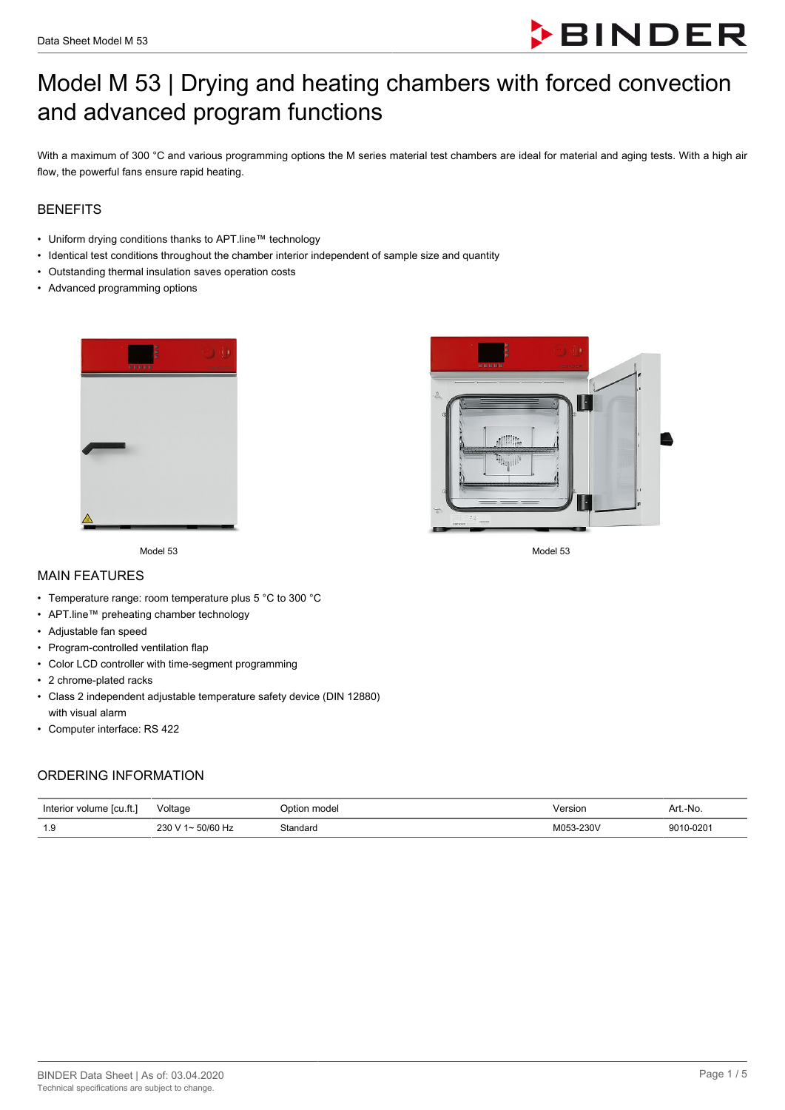

# Model M 53 | Drying and heating chambers with forced convection and advanced program functions

With a maximum of 300 °C and various programming options the M series material test chambers are ideal for material and aging tests. With a high air flow, the powerful fans ensure rapid heating.

## **BENEFITS**

- Uniform drying conditions thanks to APT.line™ technology
- Identical test conditions throughout the chamber interior independent of sample size and quantity
- Outstanding thermal insulation saves operation costs
- Advanced programming options





Model 53 Model 53

MAIN FEATURES

- Temperature range: room temperature plus 5 °C to 300 °C
- APT.line™ preheating chamber technology
- Adjustable fan speed
- Program-controlled ventilation flap
- Color LCD controller with time-segment programming
- 2 chrome-plated racks
- Class 2 independent adjustable temperature safety device (DIN 12880) with visual alarm
- Computer interface: RS 422

#### ORDERING INFORMATION

| ا Interior<br>∵ volume lcu.ft. | Voltage                            | model<br>Option | /ersion        | Art.-No.       |
|--------------------------------|------------------------------------|-----------------|----------------|----------------|
| 10<br>                         | 230<br>ומו<br>$\sim$ $\sim$ $\sim$ | `tandard<br>.   | M053-230V<br>. | 9010-0201<br>. |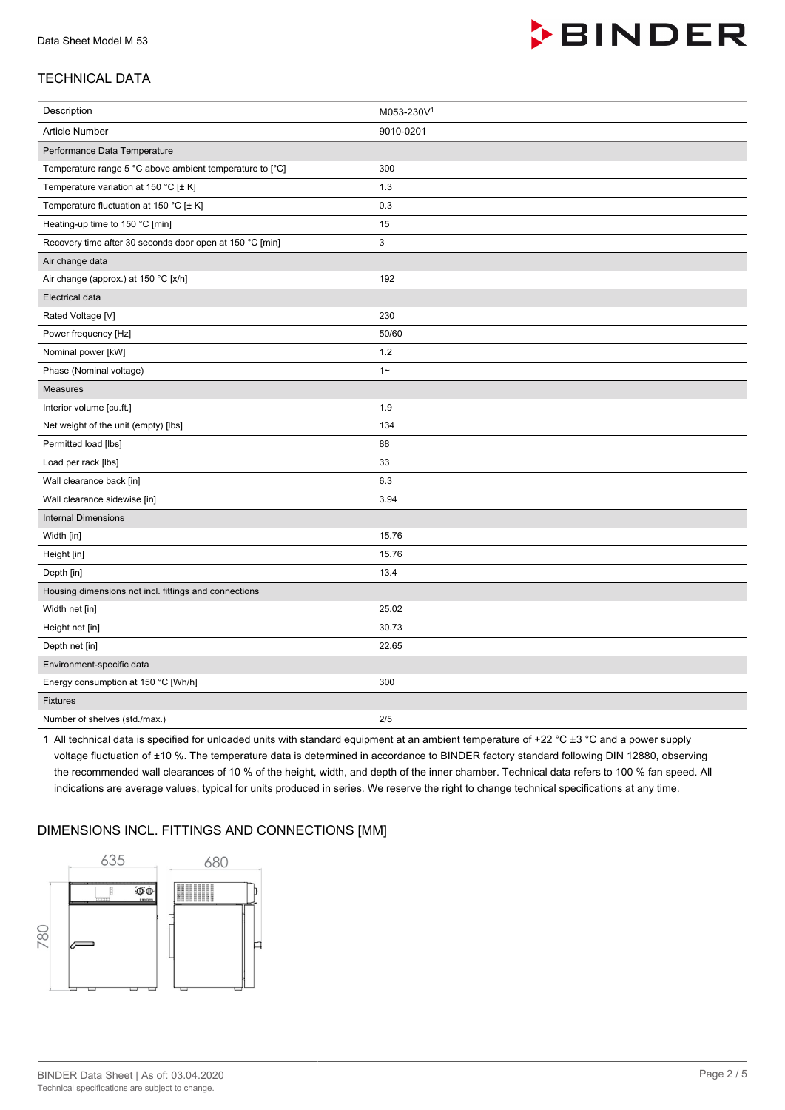

# TECHNICAL DATA

| Description                                              | M053-230V1 |
|----------------------------------------------------------|------------|
| <b>Article Number</b>                                    | 9010-0201  |
| Performance Data Temperature                             |            |
| Temperature range 5 °C above ambient temperature to [°C] | 300        |
| Temperature variation at 150 °C [± K]                    | 1.3        |
| Temperature fluctuation at 150 °C [± K]                  | 0.3        |
| Heating-up time to 150 °C [min]                          | 15         |
| Recovery time after 30 seconds door open at 150 °C [min] | 3          |
| Air change data                                          |            |
| Air change (approx.) at 150 °C [x/h]                     | 192        |
| <b>Electrical data</b>                                   |            |
| Rated Voltage [V]                                        | 230        |
| Power frequency [Hz]                                     | 50/60      |
| Nominal power [kW]                                       | 1.2        |
| Phase (Nominal voltage)                                  | $1 -$      |
| Measures                                                 |            |
| Interior volume [cu.ft.]                                 | 1.9        |
| Net weight of the unit (empty) [lbs]                     | 134        |
| Permitted load [lbs]                                     | 88         |
| Load per rack [lbs]                                      | 33         |
| Wall clearance back [in]                                 | 6.3        |
| Wall clearance sidewise [in]                             | 3.94       |
| <b>Internal Dimensions</b>                               |            |
| Width [in]                                               | 15.76      |
| Height [in]                                              | 15.76      |
| Depth [in]                                               | 13.4       |
| Housing dimensions not incl. fittings and connections    |            |
| Width net [in]                                           | 25.02      |
| Height net [in]                                          | 30.73      |
| Depth net [in]                                           | 22.65      |
| Environment-specific data                                |            |
| Energy consumption at 150 °C [Wh/h]                      | 300        |
| Fixtures                                                 |            |
| Number of shelves (std./max.)                            | 2/5        |

1 All technical data is specified for unloaded units with standard equipment at an ambient temperature of +22 °C ±3 °C and a power supply voltage fluctuation of ±10 %. The temperature data is determined in accordance to BINDER factory standard following DIN 12880, observing the recommended wall clearances of 10 % of the height, width, and depth of the inner chamber. Technical data refers to 100 % fan speed. All indications are average values, typical for units produced in series. We reserve the right to change technical specifications at any time.

## DIMENSIONS INCL. FITTINGS AND CONNECTIONS [MM]

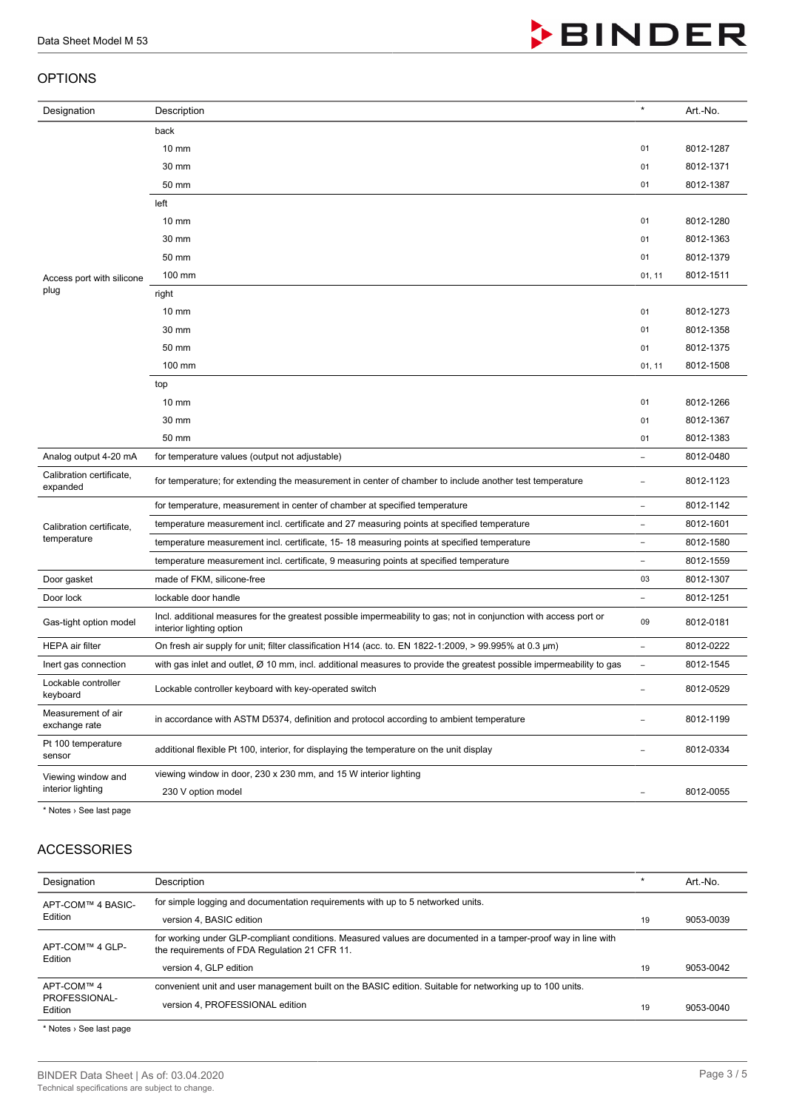#### OPTIONS

| Designation                          | Description                                                                                                                                   | $\star$                  | Art.-No.  |
|--------------------------------------|-----------------------------------------------------------------------------------------------------------------------------------------------|--------------------------|-----------|
|                                      | back                                                                                                                                          |                          |           |
|                                      | $10 \text{ mm}$                                                                                                                               | 01                       | 8012-1287 |
|                                      | 30 mm                                                                                                                                         | 01                       | 8012-1371 |
|                                      | 50 mm                                                                                                                                         | 01                       | 8012-1387 |
|                                      | left                                                                                                                                          |                          |           |
|                                      | $10 \text{ mm}$                                                                                                                               | 01                       | 8012-1280 |
|                                      | 30 mm                                                                                                                                         | 01                       | 8012-1363 |
|                                      | 50 mm                                                                                                                                         |                          | 8012-1379 |
| Access port with silicone            | 100 mm                                                                                                                                        | 01, 11                   | 8012-1511 |
| plug                                 | right                                                                                                                                         |                          |           |
|                                      | $10 \text{ mm}$                                                                                                                               | 01                       | 8012-1273 |
|                                      | 30 mm                                                                                                                                         | 01                       | 8012-1358 |
|                                      | 50 mm                                                                                                                                         | 01                       | 8012-1375 |
|                                      | 100 mm                                                                                                                                        | 01, 11                   | 8012-1508 |
|                                      | top                                                                                                                                           |                          |           |
|                                      | $10 \text{ mm}$                                                                                                                               | 01                       | 8012-1266 |
|                                      | 30 mm                                                                                                                                         | 01                       | 8012-1367 |
|                                      | 50 mm                                                                                                                                         | 01                       | 8012-1383 |
| Analog output 4-20 mA                | for temperature values (output not adjustable)                                                                                                |                          | 8012-0480 |
| Calibration certificate,<br>expanded | for temperature; for extending the measurement in center of chamber to include another test temperature                                       |                          | 8012-1123 |
|                                      | for temperature, measurement in center of chamber at specified temperature                                                                    |                          | 8012-1142 |
| Calibration certificate,             | temperature measurement incl. certificate and 27 measuring points at specified temperature                                                    | $\overline{\phantom{0}}$ | 8012-1601 |
| temperature                          | temperature measurement incl. certificate, 15-18 measuring points at specified temperature                                                    | ÷,                       | 8012-1580 |
|                                      | temperature measurement incl. certificate, 9 measuring points at specified temperature                                                        |                          | 8012-1559 |
| Door gasket                          | made of FKM, silicone-free                                                                                                                    |                          | 8012-1307 |
| Door lock                            | lockable door handle                                                                                                                          | ÷,                       | 8012-1251 |
| Gas-tight option model               | Incl. additional measures for the greatest possible impermeability to gas; not in conjunction with access port or<br>interior lighting option |                          | 8012-0181 |
| <b>HEPA</b> air filter               | On fresh air supply for unit; filter classification H14 (acc. to. EN 1822-1:2009, > 99.995% at 0.3 $\mu$ m)                                   | $\overline{\phantom{0}}$ | 8012-0222 |
| Inert gas connection                 | with gas inlet and outlet, Ø 10 mm, incl. additional measures to provide the greatest possible impermeability to gas                          |                          | 8012-1545 |
| Lockable controller<br>keyboard      | Lockable controller keyboard with key-operated switch                                                                                         |                          | 8012-0529 |
| Measurement of air<br>exchange rate  | in accordance with ASTM D5374, definition and protocol according to ambient temperature                                                       |                          | 8012-1199 |
| Pt 100 temperature<br>sensor         | additional flexible Pt 100, interior, for displaying the temperature on the unit display                                                      | $\overline{\phantom{0}}$ | 8012-0334 |
| Viewing window and                   | viewing window in door, 230 x 230 mm, and 15 W interior lighting                                                                              |                          |           |
| interior lighting                    | 230 V option model                                                                                                                            | $\qquad \qquad -$        | 8012-0055 |

\* Notes › See last page

# ACCESSORIES

| Designation                            | Description                                                                                                                                                    |    | Art.-No.  |
|----------------------------------------|----------------------------------------------------------------------------------------------------------------------------------------------------------------|----|-----------|
| APT-COM™ 4 BASIC-<br>Edition           | for simple logging and documentation requirements with up to 5 networked units.                                                                                |    |           |
|                                        | version 4. BASIC edition                                                                                                                                       | 19 | 9053-0039 |
| APT-COM™ 4 GLP-<br>Edition             | for working under GLP-compliant conditions. Measured values are documented in a tamper-proof way in line with<br>the requirements of FDA Regulation 21 CFR 11. |    |           |
|                                        | version 4, GLP edition                                                                                                                                         | 19 | 9053-0042 |
| APT-COM™ 4<br>PROFESSIONAL-<br>Edition | convenient unit and user management built on the BASIC edition. Suitable for networking up to 100 units.                                                       |    |           |
|                                        | version 4, PROFESSIONAL edition                                                                                                                                | 19 | 9053-0040 |

\* Notes › See last page

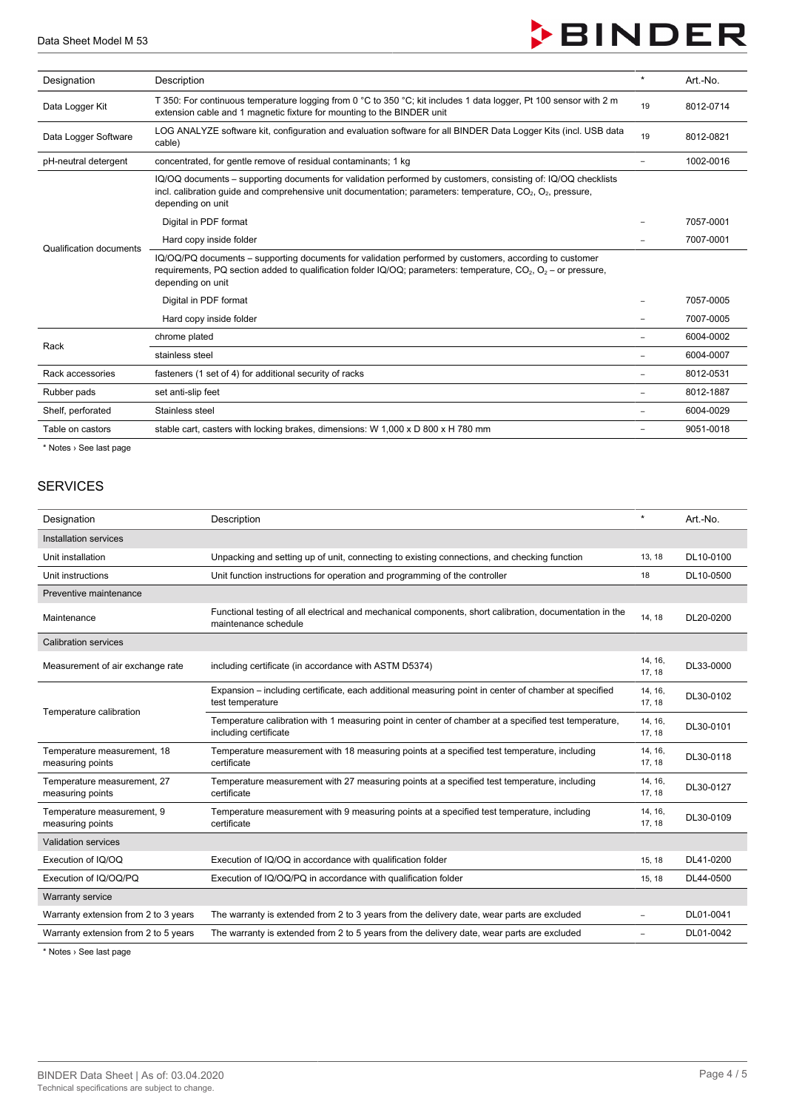

| Designation             | Description                                                                                                                                                                                                                                           |  | Art.-No.  |
|-------------------------|-------------------------------------------------------------------------------------------------------------------------------------------------------------------------------------------------------------------------------------------------------|--|-----------|
| Data Logger Kit         | T 350: For continuous temperature logging from 0 °C to 350 °C; kit includes 1 data logger, Pt 100 sensor with 2 m<br>extension cable and 1 magnetic fixture for mounting to the BINDER unit                                                           |  | 8012-0714 |
| Data Logger Software    | LOG ANALYZE software kit, configuration and evaluation software for all BINDER Data Logger Kits (incl. USB data<br>cable)                                                                                                                             |  | 8012-0821 |
| pH-neutral detergent    | concentrated, for gentle remove of residual contaminants; 1 kg                                                                                                                                                                                        |  | 1002-0016 |
| Qualification documents | IQ/OQ documents – supporting documents for validation performed by customers, consisting of: IQ/OQ checklists<br>incl. calibration guide and comprehensive unit documentation; parameters: temperature, $CO2$ , $O2$ , pressure,<br>depending on unit |  |           |
|                         | Digital in PDF format                                                                                                                                                                                                                                 |  | 7057-0001 |
|                         | Hard copy inside folder                                                                                                                                                                                                                               |  | 7007-0001 |
|                         | IQ/OQ/PQ documents – supporting documents for validation performed by customers, according to customer<br>requirements, PQ section added to qualification folder IQ/OQ; parameters: temperature, $CO_2$ , $O_2$ – or pressure,<br>depending on unit   |  |           |
|                         | Digital in PDF format                                                                                                                                                                                                                                 |  | 7057-0005 |
|                         | Hard copy inside folder                                                                                                                                                                                                                               |  | 7007-0005 |
| Rack                    | chrome plated                                                                                                                                                                                                                                         |  | 6004-0002 |
|                         | stainless steel                                                                                                                                                                                                                                       |  | 6004-0007 |
| Rack accessories        | fasteners (1 set of 4) for additional security of racks                                                                                                                                                                                               |  | 8012-0531 |
| Rubber pads             | set anti-slip feet                                                                                                                                                                                                                                    |  | 8012-1887 |
| Shelf, perforated       | Stainless steel                                                                                                                                                                                                                                       |  | 6004-0029 |
| Table on castors        | stable cart, casters with locking brakes, dimensions: W 1,000 x D 800 x H 780 mm                                                                                                                                                                      |  | 9051-0018 |

\* Notes › See last page

## **SERVICES**

| Designation                                     | Description                                                                                                                     | $\star$           | Art.-No.  |
|-------------------------------------------------|---------------------------------------------------------------------------------------------------------------------------------|-------------------|-----------|
| Installation services                           |                                                                                                                                 |                   |           |
| Unit installation                               | Unpacking and setting up of unit, connecting to existing connections, and checking function                                     | 13, 18            | DL10-0100 |
| Unit instructions                               | Unit function instructions for operation and programming of the controller                                                      | 18                | DL10-0500 |
| Preventive maintenance                          |                                                                                                                                 |                   |           |
| Maintenance                                     | Functional testing of all electrical and mechanical components, short calibration, documentation in the<br>maintenance schedule | 14, 18            | DL20-0200 |
| <b>Calibration services</b>                     |                                                                                                                                 |                   |           |
| Measurement of air exchange rate                | including certificate (in accordance with ASTM D5374)                                                                           | 14, 16,<br>17, 18 | DL33-0000 |
| Temperature calibration                         | Expansion – including certificate, each additional measuring point in center of chamber at specified<br>test temperature        | 14, 16,<br>17, 18 | DL30-0102 |
|                                                 | Temperature calibration with 1 measuring point in center of chamber at a specified test temperature,<br>including certificate   | 14, 16,<br>17, 18 | DL30-0101 |
| Temperature measurement, 18<br>measuring points | Temperature measurement with 18 measuring points at a specified test temperature, including<br>certificate                      | 14, 16,<br>17, 18 | DL30-0118 |
| Temperature measurement, 27<br>measuring points | Temperature measurement with 27 measuring points at a specified test temperature, including<br>certificate                      | 14, 16,<br>17, 18 | DL30-0127 |
| Temperature measurement, 9<br>measuring points  | Temperature measurement with 9 measuring points at a specified test temperature, including<br>certificate                       | 14, 16,<br>17, 18 | DL30-0109 |
| <b>Validation services</b>                      |                                                                                                                                 |                   |           |
| Execution of IQ/OQ                              | Execution of IQ/OQ in accordance with qualification folder                                                                      | 15, 18            | DL41-0200 |
| Execution of IQ/OQ/PQ                           | Execution of IQ/OQ/PQ in accordance with qualification folder                                                                   | 15, 18            | DL44-0500 |
| <b>Warranty service</b>                         |                                                                                                                                 |                   |           |
| Warranty extension from 2 to 3 years            | The warranty is extended from 2 to 3 years from the delivery date, wear parts are excluded                                      | ÷                 | DL01-0041 |
| Warranty extension from 2 to 5 years            | The warranty is extended from 2 to 5 years from the delivery date, wear parts are excluded                                      | ÷,                | DL01-0042 |

\* Notes › See last page